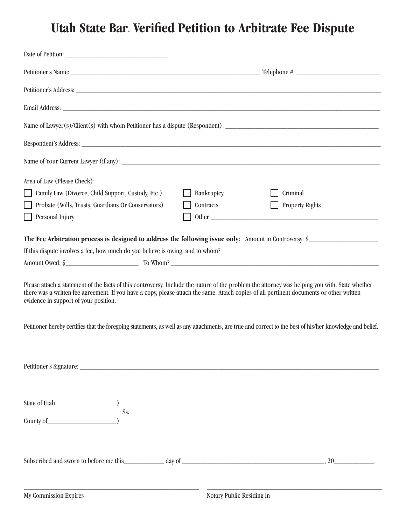## **Utah State Bar. Verified Petition to Arbitrate Fee Dispute**

| Area of Law (Please Check):                                                                                                                                                                                                                                                                                                                                                                                                                                                                     |            |                        |  |
|-------------------------------------------------------------------------------------------------------------------------------------------------------------------------------------------------------------------------------------------------------------------------------------------------------------------------------------------------------------------------------------------------------------------------------------------------------------------------------------------------|------------|------------------------|--|
| Family Law (Divorce, Child Support, Custody, Etc.)                                                                                                                                                                                                                                                                                                                                                                                                                                              | Bankruptcy | Criminal               |  |
| Probate (Wills, Trusts, Guardians Or Conservators)                                                                                                                                                                                                                                                                                                                                                                                                                                              | Contracts  | <b>Property Rights</b> |  |
| Personal Injury                                                                                                                                                                                                                                                                                                                                                                                                                                                                                 |            |                        |  |
| The Fee Arbitration process is designed to address the following issue only: Amount in Controversy: $\oint$                                                                                                                                                                                                                                                                                                                                                                                     |            |                        |  |
| If this dispute involves a fee, how much do you believe is owing, and to whom?                                                                                                                                                                                                                                                                                                                                                                                                                  |            |                        |  |
|                                                                                                                                                                                                                                                                                                                                                                                                                                                                                                 |            |                        |  |
| Please attach a statement of the facts of this controversy. Include the nature of the problem the attorney was helping you with. State whether<br>there was a written fee agreement. If you have a copy, please attach the same. Attach copies of all pertinent documents or other written<br>evidence in support of your position.<br>Petitioner hereby certifies that the foregoing statements, as well as any attachments, are true and correct to the best of his/her knowledge and belief. |            |                        |  |
|                                                                                                                                                                                                                                                                                                                                                                                                                                                                                                 |            |                        |  |
| State of Utah                                                                                                                                                                                                                                                                                                                                                                                                                                                                                   |            |                        |  |
| $:$ Ss.                                                                                                                                                                                                                                                                                                                                                                                                                                                                                         |            |                        |  |
|                                                                                                                                                                                                                                                                                                                                                                                                                                                                                                 |            |                        |  |
|                                                                                                                                                                                                                                                                                                                                                                                                                                                                                                 |            |                        |  |